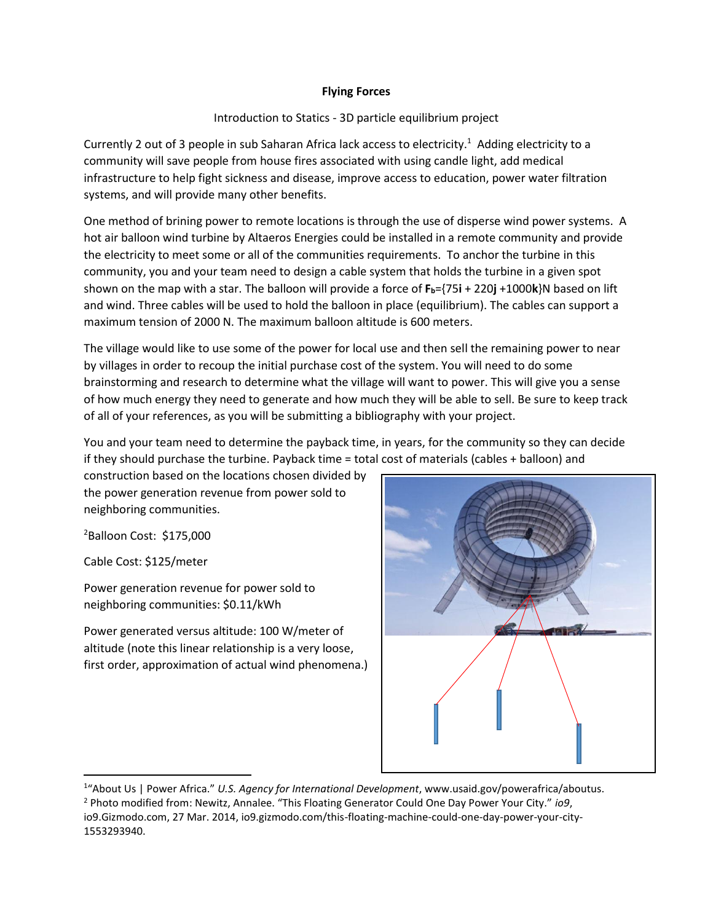## **Flying Forces**

# Introduction to Statics - 3D particle equilibrium project

Currently 2 out of 3 people in sub Saharan Africa lack access to electricity.<sup>1</sup> Adding electricity to a community will save people from house fires associated with using candle light, add medical infrastructure to help fight sickness and disease, improve access to education, power water filtration systems, and will provide many other benefits.

One method of brining power to remote locations is through the use of disperse wind power systems. A hot air balloon wind turbine by Altaeros Energies could be installed in a remote community and provide the electricity to meet some or all of the communities requirements. To anchor the turbine in this community, you and your team need to design a cable system that holds the turbine in a given spot shown on the map with a star. The balloon will provide a force of **Fb**={75**i** + 220**j** +1000**k**}N based on lift and wind. Three cables will be used to hold the balloon in place (equilibrium). The cables can support a maximum tension of 2000 N. The maximum balloon altitude is 600 meters.

The village would like to use some of the power for local use and then sell the remaining power to near by villages in order to recoup the initial purchase cost of the system. You will need to do some brainstorming and research to determine what the village will want to power. This will give you a sense of how much energy they need to generate and how much they will be able to sell. Be sure to keep track of all of your references, as you will be submitting a bibliography with your project.

You and your team need to determine the payback time, in years, for the community so they can decide if they should purchase the turbine. Payback time = total cost of materials (cables + balloon) and

construction based on the locations chosen divided by the power generation revenue from power sold to neighboring communities.

<sup>2</sup>Balloon Cost: \$175,000

Cable Cost: \$125/meter

l

Power generation revenue for power sold to neighboring communities: \$0.11/kWh

Power generated versus altitude: 100 W/meter of altitude (note this linear relationship is a very loose, first order, approximation of actual wind phenomena.)



<sup>1</sup> "About Us | Power Africa." *U.S. Agency for International Development*, www.usaid.gov/powerafrica/aboutus. <sup>2</sup> Photo modified from: Newitz, Annalee. "This Floating Generator Could One Day Power Your City." *io9*, io9.Gizmodo.com, 27 Mar. 2014, io9.gizmodo.com/this-floating-machine-could-one-day-power-your-city-1553293940.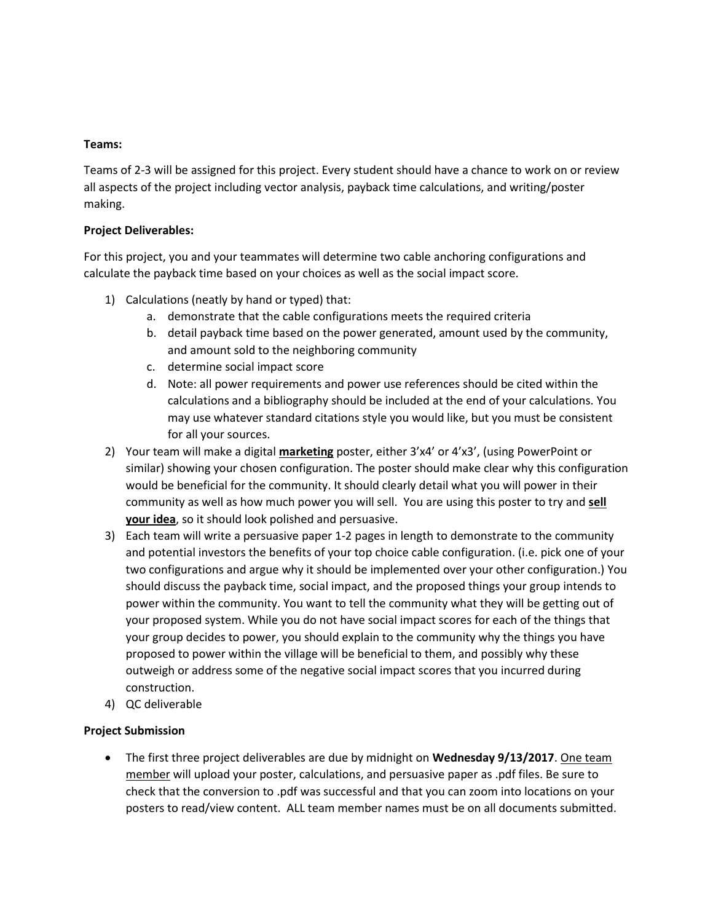### **Teams:**

Teams of 2-3 will be assigned for this project. Every student should have a chance to work on or review all aspects of the project including vector analysis, payback time calculations, and writing/poster making.

# **Project Deliverables:**

For this project, you and your teammates will determine two cable anchoring configurations and calculate the payback time based on your choices as well as the social impact score.

- 1) Calculations (neatly by hand or typed) that:
	- a. demonstrate that the cable configurations meets the required criteria
	- b. detail payback time based on the power generated, amount used by the community, and amount sold to the neighboring community
	- c. determine social impact score
	- d. Note: all power requirements and power use references should be cited within the calculations and a bibliography should be included at the end of your calculations. You may use whatever standard citations style you would like, but you must be consistent for all your sources.
- 2) Your team will make a digital **marketing** poster, either 3'x4' or 4'x3', (using PowerPoint or similar) showing your chosen configuration. The poster should make clear why this configuration would be beneficial for the community. It should clearly detail what you will power in their community as well as how much power you will sell. You are using this poster to try and **sell your idea**, so it should look polished and persuasive.
- 3) Each team will write a persuasive paper 1-2 pages in length to demonstrate to the community and potential investors the benefits of your top choice cable configuration. (i.e. pick one of your two configurations and argue why it should be implemented over your other configuration.) You should discuss the payback time, social impact, and the proposed things your group intends to power within the community. You want to tell the community what they will be getting out of your proposed system. While you do not have social impact scores for each of the things that your group decides to power, you should explain to the community why the things you have proposed to power within the village will be beneficial to them, and possibly why these outweigh or address some of the negative social impact scores that you incurred during construction.
- 4) QC deliverable

# **Project Submission**

 The first three project deliverables are due by midnight on **Wednesday 9/13/2017**. One team member will upload your poster, calculations, and persuasive paper as .pdf files. Be sure to check that the conversion to .pdf was successful and that you can zoom into locations on your posters to read/view content. ALL team member names must be on all documents submitted.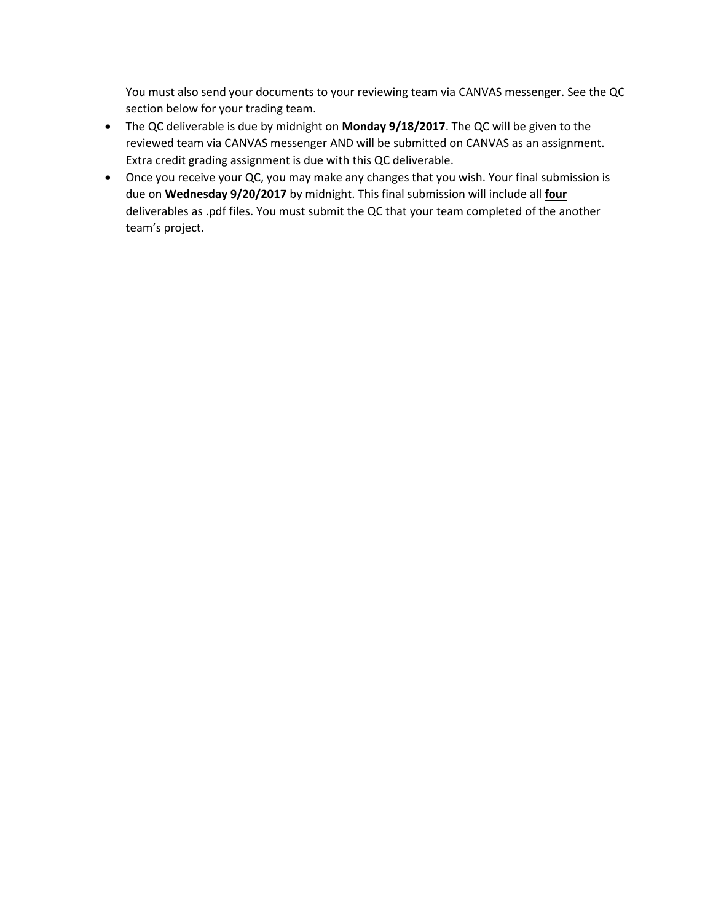You must also send your documents to your reviewing team via CANVAS messenger. See the QC section below for your trading team.

- The QC deliverable is due by midnight on **Monday 9/18/2017**. The QC will be given to the reviewed team via CANVAS messenger AND will be submitted on CANVAS as an assignment. Extra credit grading assignment is due with this QC deliverable.
- Once you receive your QC, you may make any changes that you wish. Your final submission is due on **Wednesday 9/20/2017** by midnight. This final submission will include all **four** deliverables as .pdf files. You must submit the QC that your team completed of the another team's project.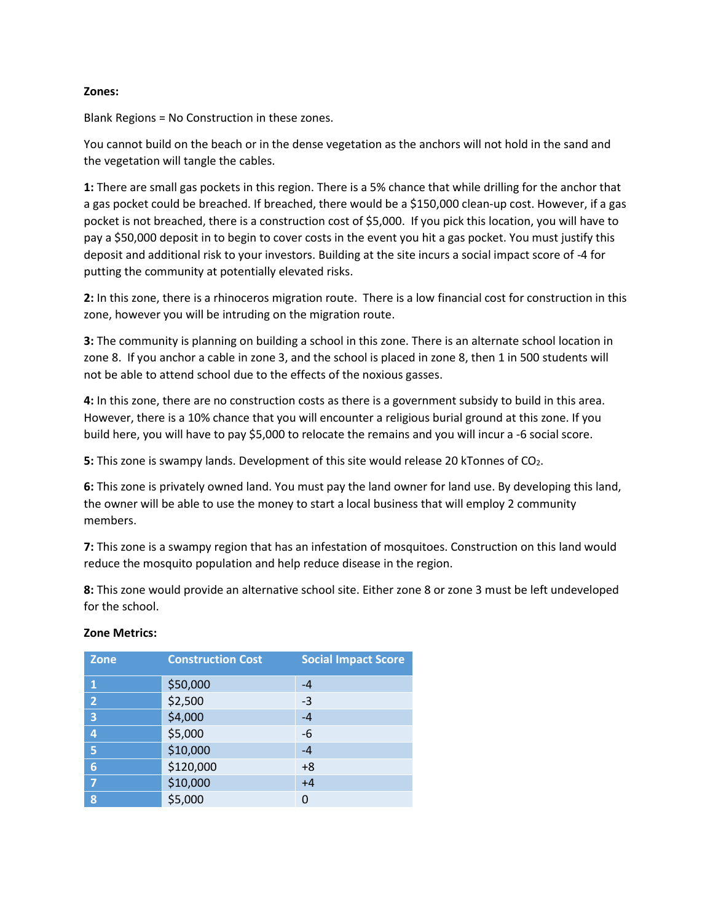### **Zones:**

Blank Regions = No Construction in these zones.

You cannot build on the beach or in the dense vegetation as the anchors will not hold in the sand and the vegetation will tangle the cables.

**1:** There are small gas pockets in this region. There is a 5% chance that while drilling for the anchor that a gas pocket could be breached. If breached, there would be a \$150,000 clean-up cost. However, if a gas pocket is not breached, there is a construction cost of \$5,000. If you pick this location, you will have to pay a \$50,000 deposit in to begin to cover costs in the event you hit a gas pocket. You must justify this deposit and additional risk to your investors. Building at the site incurs a social impact score of -4 for putting the community at potentially elevated risks.

**2:** In this zone, there is a rhinoceros migration route. There is a low financial cost for construction in this zone, however you will be intruding on the migration route.

**3:** The community is planning on building a school in this zone. There is an alternate school location in zone 8. If you anchor a cable in zone 3, and the school is placed in zone 8, then 1 in 500 students will not be able to attend school due to the effects of the noxious gasses.

**4:** In this zone, there are no construction costs as there is a government subsidy to build in this area. However, there is a 10% chance that you will encounter a religious burial ground at this zone. If you build here, you will have to pay \$5,000 to relocate the remains and you will incur a -6 social score.

**5:** This zone is swampy lands. Development of this site would release 20 kTonnes of CO<sub>2</sub>.

**6:** This zone is privately owned land. You must pay the land owner for land use. By developing this land, the owner will be able to use the money to start a local business that will employ 2 community members.

**7:** This zone is a swampy region that has an infestation of mosquitoes. Construction on this land would reduce the mosquito population and help reduce disease in the region.

**8:** This zone would provide an alternative school site. Either zone 8 or zone 3 must be left undeveloped for the school.

| <b>Zone</b>             | <b>Construction Cost</b> | <b>Social Impact Score</b> |
|-------------------------|--------------------------|----------------------------|
| $\mathbf{1}$            | \$50,000                 | $-4$                       |
| $\overline{2}$          | \$2,500                  | -3                         |
| $\overline{\mathbf{3}}$ | \$4,000                  | $-4$                       |
| 4                       | \$5,000                  | -6                         |
| 5                       | \$10,000                 | $-4$                       |
| $6\phantom{1}6$         | \$120,000                | $+8$                       |
| $\overline{7}$          | \$10,000                 | $+4$                       |
| 8                       | \$5,000                  | 0                          |

### **Zone Metrics:**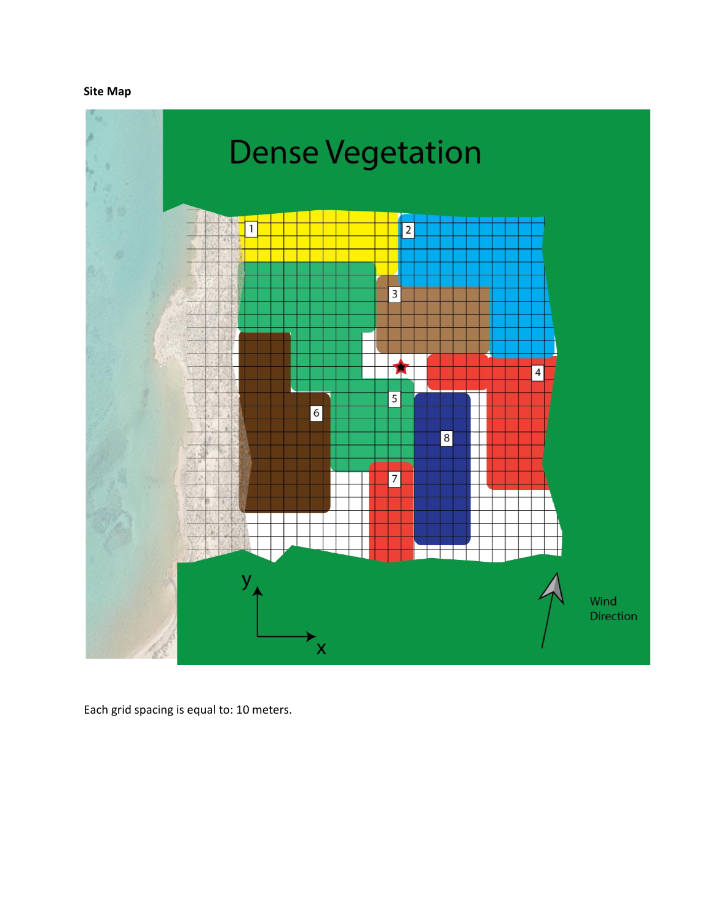# **Site Map**



Each grid spacing is equal to: 10 meters.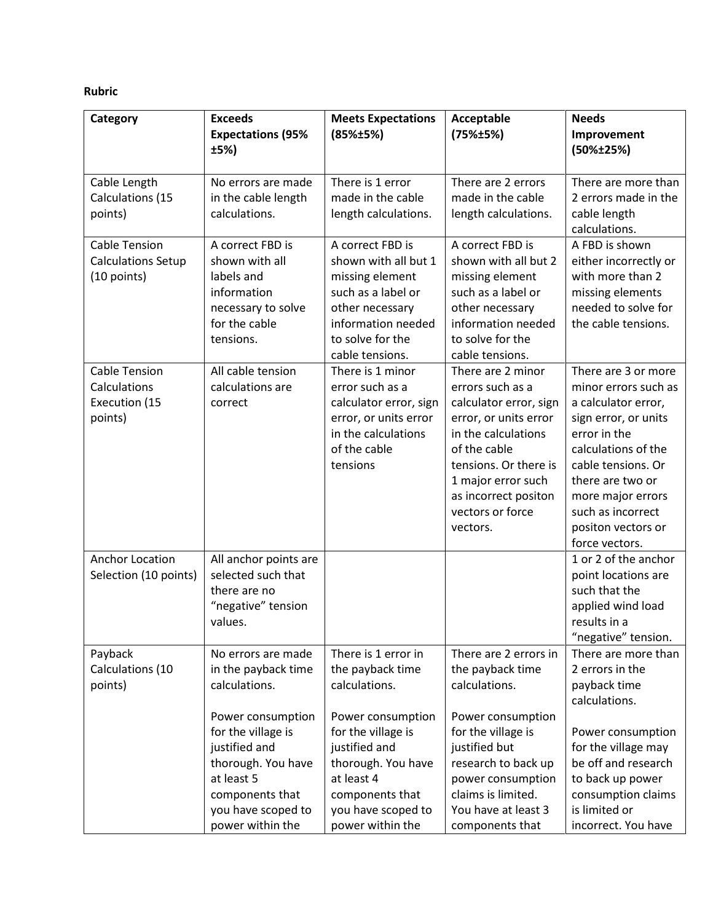# **Rubric**

| Category                                                         | <b>Exceeds</b><br><b>Expectations (95%</b><br>±5%)                                                                                                                                                  | <b>Meets Expectations</b><br>(85%±5%)                                                                                                                                                             | Acceptable<br>(75%±5%)                                                                                                                                                                                                                 | <b>Needs</b><br>Improvement<br>(50%±25%)                                                                                                                                                                                                                      |
|------------------------------------------------------------------|-----------------------------------------------------------------------------------------------------------------------------------------------------------------------------------------------------|---------------------------------------------------------------------------------------------------------------------------------------------------------------------------------------------------|----------------------------------------------------------------------------------------------------------------------------------------------------------------------------------------------------------------------------------------|---------------------------------------------------------------------------------------------------------------------------------------------------------------------------------------------------------------------------------------------------------------|
| Cable Length<br>Calculations (15<br>points)                      | No errors are made<br>in the cable length<br>calculations.                                                                                                                                          | There is 1 error<br>made in the cable<br>length calculations.                                                                                                                                     | There are 2 errors<br>made in the cable<br>length calculations.                                                                                                                                                                        | There are more than<br>2 errors made in the<br>cable length<br>calculations.                                                                                                                                                                                  |
| <b>Cable Tension</b><br><b>Calculations Setup</b><br>(10 points) | A correct FBD is<br>shown with all<br>labels and<br>information<br>necessary to solve<br>for the cable<br>tensions.                                                                                 | A correct FBD is<br>shown with all but 1<br>missing element<br>such as a label or<br>other necessary<br>information needed<br>to solve for the<br>cable tensions.                                 | A correct FBD is<br>shown with all but 2<br>missing element<br>such as a label or<br>other necessary<br>information needed<br>to solve for the<br>cable tensions.                                                                      | A FBD is shown<br>either incorrectly or<br>with more than 2<br>missing elements<br>needed to solve for<br>the cable tensions.                                                                                                                                 |
| <b>Cable Tension</b><br>Calculations<br>Execution (15<br>points) | All cable tension<br>calculations are<br>correct                                                                                                                                                    | There is 1 minor<br>error such as a<br>calculator error, sign<br>error, or units error<br>in the calculations<br>of the cable<br>tensions                                                         | There are 2 minor<br>errors such as a<br>calculator error, sign<br>error, or units error<br>in the calculations<br>of the cable<br>tensions. Or there is<br>1 major error such<br>as incorrect positon<br>vectors or force<br>vectors. | There are 3 or more<br>minor errors such as<br>a calculator error,<br>sign error, or units<br>error in the<br>calculations of the<br>cable tensions. Or<br>there are two or<br>more major errors<br>such as incorrect<br>positon vectors or<br>force vectors. |
| Anchor Location<br>Selection (10 points)                         | All anchor points are<br>selected such that<br>there are no<br>"negative" tension<br>values.                                                                                                        |                                                                                                                                                                                                   |                                                                                                                                                                                                                                        | 1 or 2 of the anchor<br>point locations are<br>such that the<br>applied wind load<br>results in a<br>"negative" tension.                                                                                                                                      |
| Payback<br>Calculations (10<br>points)                           | No errors are made<br>in the payback time<br>calculations.<br>Power consumption<br>for the village is<br>justified and<br>thorough. You have<br>at least 5<br>components that<br>you have scoped to | There is 1 error in<br>the payback time<br>calculations.<br>Power consumption<br>for the village is<br>justified and<br>thorough. You have<br>at least 4<br>components that<br>you have scoped to | There are 2 errors in<br>the payback time<br>calculations.<br>Power consumption<br>for the village is<br>justified but<br>research to back up<br>power consumption<br>claims is limited.<br>You have at least 3                        | There are more than<br>2 errors in the<br>payback time<br>calculations.<br>Power consumption<br>for the village may<br>be off and research<br>to back up power<br>consumption claims<br>is limited or                                                         |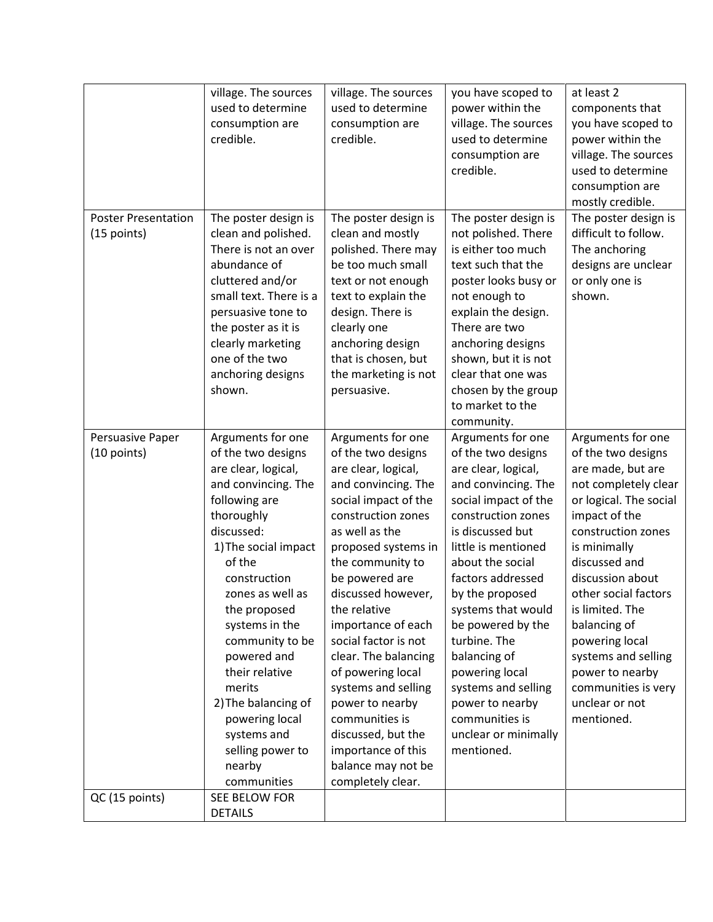|                                           | village. The sources<br>used to determine<br>consumption are<br>credible.                                                                                                                                                                                                                                                                                                                                     | village. The sources<br>used to determine<br>consumption are<br>credible.                                                                                                                                                                                                                                                                                                                                                                                                                              | you have scoped to<br>power within the<br>village. The sources<br>used to determine<br>consumption are<br>credible.                                                                                                                                                                                                                                                                                                                       | at least 2<br>components that<br>you have scoped to<br>power within the<br>village. The sources<br>used to determine<br>consumption are                                                                                                                                                                                                                                                  |
|-------------------------------------------|---------------------------------------------------------------------------------------------------------------------------------------------------------------------------------------------------------------------------------------------------------------------------------------------------------------------------------------------------------------------------------------------------------------|--------------------------------------------------------------------------------------------------------------------------------------------------------------------------------------------------------------------------------------------------------------------------------------------------------------------------------------------------------------------------------------------------------------------------------------------------------------------------------------------------------|-------------------------------------------------------------------------------------------------------------------------------------------------------------------------------------------------------------------------------------------------------------------------------------------------------------------------------------------------------------------------------------------------------------------------------------------|------------------------------------------------------------------------------------------------------------------------------------------------------------------------------------------------------------------------------------------------------------------------------------------------------------------------------------------------------------------------------------------|
| <b>Poster Presentation</b><br>(15 points) | The poster design is<br>clean and polished.<br>There is not an over<br>abundance of<br>cluttered and/or<br>small text. There is a<br>persuasive tone to<br>the poster as it is<br>clearly marketing<br>one of the two<br>anchoring designs<br>shown.                                                                                                                                                          | The poster design is<br>clean and mostly<br>polished. There may<br>be too much small<br>text or not enough<br>text to explain the<br>design. There is<br>clearly one<br>anchoring design<br>that is chosen, but<br>the marketing is not<br>persuasive.                                                                                                                                                                                                                                                 | The poster design is<br>not polished. There<br>is either too much<br>text such that the<br>poster looks busy or<br>not enough to<br>explain the design.<br>There are two<br>anchoring designs<br>shown, but it is not<br>clear that one was<br>chosen by the group<br>to market to the<br>community.                                                                                                                                      | mostly credible.<br>The poster design is<br>difficult to follow.<br>The anchoring<br>designs are unclear<br>or only one is<br>shown.                                                                                                                                                                                                                                                     |
| Persuasive Paper<br>(10 points)           | Arguments for one<br>of the two designs<br>are clear, logical,<br>and convincing. The<br>following are<br>thoroughly<br>discussed:<br>1) The social impact<br>of the<br>construction<br>zones as well as<br>the proposed<br>systems in the<br>community to be<br>powered and<br>their relative<br>merits<br>2) The balancing of<br>powering local<br>systems and<br>selling power to<br>nearby<br>communities | Arguments for one<br>of the two designs<br>are clear, logical,<br>and convincing. The<br>social impact of the<br>construction zones<br>as well as the<br>proposed systems in<br>the community to<br>be powered are<br>discussed however,<br>the relative<br>importance of each<br>social factor is not<br>clear. The balancing<br>of powering local<br>systems and selling<br>power to nearby<br>communities is<br>discussed, but the<br>importance of this<br>balance may not be<br>completely clear. | Arguments for one<br>of the two designs<br>are clear, logical,<br>and convincing. The<br>social impact of the<br>construction zones<br>is discussed but<br>little is mentioned<br>about the social<br>factors addressed<br>by the proposed<br>systems that would<br>be powered by the<br>turbine. The<br>balancing of<br>powering local<br>systems and selling<br>power to nearby<br>communities is<br>unclear or minimally<br>mentioned. | Arguments for one<br>of the two designs<br>are made, but are<br>not completely clear<br>or logical. The social<br>impact of the<br>construction zones<br>is minimally<br>discussed and<br>discussion about<br>other social factors<br>is limited. The<br>balancing of<br>powering local<br>systems and selling<br>power to nearby<br>communities is very<br>unclear or not<br>mentioned. |
| QC (15 points)                            | SEE BELOW FOR<br><b>DETAILS</b>                                                                                                                                                                                                                                                                                                                                                                               |                                                                                                                                                                                                                                                                                                                                                                                                                                                                                                        |                                                                                                                                                                                                                                                                                                                                                                                                                                           |                                                                                                                                                                                                                                                                                                                                                                                          |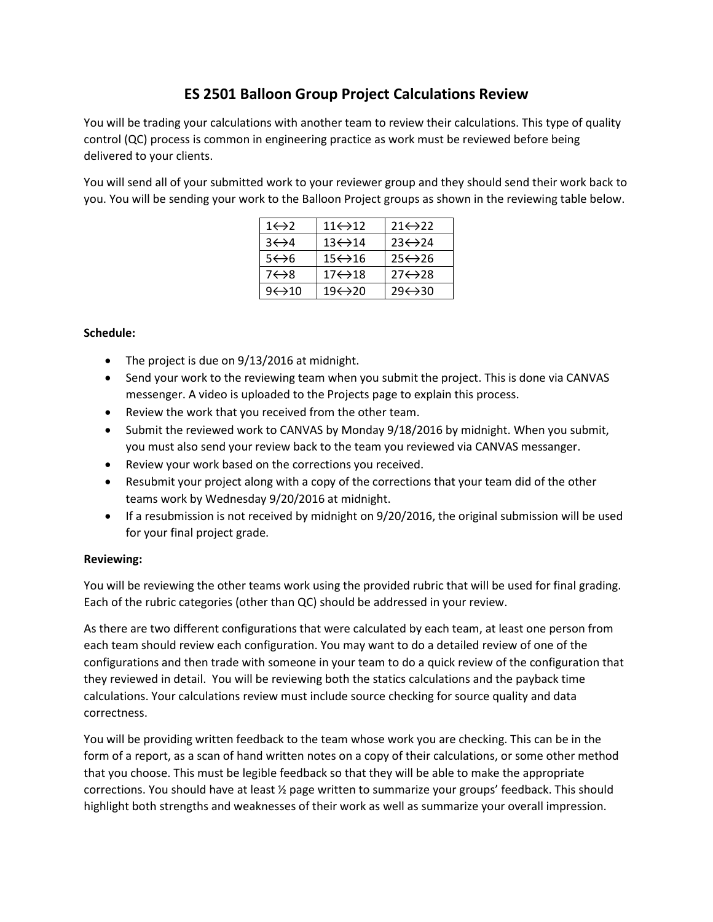# **ES 2501 Balloon Group Project Calculations Review**

You will be trading your calculations with another team to review their calculations. This type of quality control (QC) process is common in engineering practice as work must be reviewed before being delivered to your clients.

You will send all of your submitted work to your reviewer group and they should send their work back to you. You will be sending your work to the Balloon Project groups as shown in the reviewing table below.

| $1 \leftrightarrow 2$  | $11 \leftrightarrow 12$ | $21 \leftrightarrow 22$ |
|------------------------|-------------------------|-------------------------|
| $3 \leftrightarrow 4$  | $13 \leftrightarrow 14$ | $23 \leftrightarrow 24$ |
| 5←>6                   | $15 \leftrightarrow 16$ | $25 \leftrightarrow 26$ |
| $7 \leftrightarrow 8$  | 17⇔18                   | $27 \leftrightarrow 28$ |
| $9 \leftrightarrow 10$ | 19←>20                  | $29 \leftrightarrow 30$ |

# **Schedule:**

- The project is due on 9/13/2016 at midnight.
- Send your work to the reviewing team when you submit the project. This is done via CANVAS messenger. A video is uploaded to the Projects page to explain this process.
- Review the work that you received from the other team.
- Submit the reviewed work to CANVAS by Monday 9/18/2016 by midnight. When you submit, you must also send your review back to the team you reviewed via CANVAS messanger.
- Review your work based on the corrections you received.
- Resubmit your project along with a copy of the corrections that your team did of the other teams work by Wednesday 9/20/2016 at midnight.
- If a resubmission is not received by midnight on 9/20/2016, the original submission will be used for your final project grade.

### **Reviewing:**

You will be reviewing the other teams work using the provided rubric that will be used for final grading. Each of the rubric categories (other than QC) should be addressed in your review.

As there are two different configurations that were calculated by each team, at least one person from each team should review each configuration. You may want to do a detailed review of one of the configurations and then trade with someone in your team to do a quick review of the configuration that they reviewed in detail. You will be reviewing both the statics calculations and the payback time calculations. Your calculations review must include source checking for source quality and data correctness.

You will be providing written feedback to the team whose work you are checking. This can be in the form of a report, as a scan of hand written notes on a copy of their calculations, or some other method that you choose. This must be legible feedback so that they will be able to make the appropriate corrections. You should have at least ½ page written to summarize your groups' feedback. This should highlight both strengths and weaknesses of their work as well as summarize your overall impression.